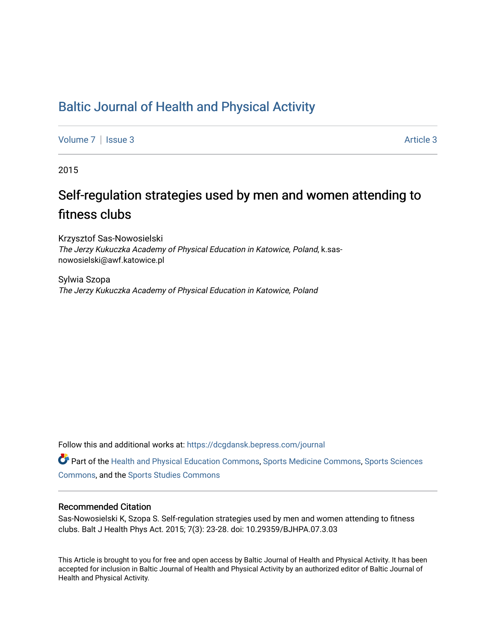## [Baltic Journal of Health and Physical Activity](https://dcgdansk.bepress.com/journal)

[Volume 7](https://dcgdansk.bepress.com/journal/vol7) | [Issue 3](https://dcgdansk.bepress.com/journal/vol7/iss3) Article 3

2015

## Self-regulation strategies used by men and women attending to fitness clubs

Krzysztof Sas-Nowosielski The Jerzy Kukuczka Academy of Physical Education in Katowice, Poland, k.sasnowosielski@awf.katowice.pl

Sylwia Szopa The Jerzy Kukuczka Academy of Physical Education in Katowice, Poland

Follow this and additional works at: [https://dcgdansk.bepress.com/journal](https://dcgdansk.bepress.com/journal?utm_source=dcgdansk.bepress.com%2Fjournal%2Fvol7%2Fiss3%2F3&utm_medium=PDF&utm_campaign=PDFCoverPages)

Part of the [Health and Physical Education Commons](http://network.bepress.com/hgg/discipline/1327?utm_source=dcgdansk.bepress.com%2Fjournal%2Fvol7%2Fiss3%2F3&utm_medium=PDF&utm_campaign=PDFCoverPages), [Sports Medicine Commons,](http://network.bepress.com/hgg/discipline/1331?utm_source=dcgdansk.bepress.com%2Fjournal%2Fvol7%2Fiss3%2F3&utm_medium=PDF&utm_campaign=PDFCoverPages) [Sports Sciences](http://network.bepress.com/hgg/discipline/759?utm_source=dcgdansk.bepress.com%2Fjournal%2Fvol7%2Fiss3%2F3&utm_medium=PDF&utm_campaign=PDFCoverPages) [Commons](http://network.bepress.com/hgg/discipline/759?utm_source=dcgdansk.bepress.com%2Fjournal%2Fvol7%2Fiss3%2F3&utm_medium=PDF&utm_campaign=PDFCoverPages), and the [Sports Studies Commons](http://network.bepress.com/hgg/discipline/1198?utm_source=dcgdansk.bepress.com%2Fjournal%2Fvol7%2Fiss3%2F3&utm_medium=PDF&utm_campaign=PDFCoverPages) 

#### Recommended Citation

Sas-Nowosielski K, Szopa S. Self-regulation strategies used by men and women attending to fitness clubs. Balt J Health Phys Act. 2015; 7(3): 23-28. doi: 10.29359/BJHPA.07.3.03

This Article is brought to you for free and open access by Baltic Journal of Health and Physical Activity. It has been accepted for inclusion in Baltic Journal of Health and Physical Activity by an authorized editor of Baltic Journal of Health and Physical Activity.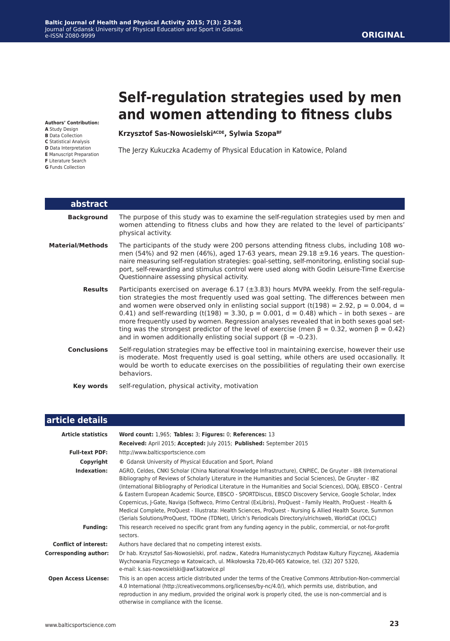# **Self-regulation strategies used by men and women attending to fitness clubs**

**Authors' Contribution:**

- **A** Study Design
- **B** Data Collection
- **C** Statistical Analysis **D** Data Interpretation
- **E** Manuscript Preparation
- **F** Literature Search
- **G** Funds Collection

Krzysztof Sas-Nowosielski<sup>ACDE</sup>, Sylwia Szopa<sup>BF</sup>

The Jerzy Kukuczka Academy of Physical Education in Katowice, Poland

| abstract                |                                                                                                                                                                                                                                                                                                                                                                                                                                                                                                                                                                                                                                                                       |
|-------------------------|-----------------------------------------------------------------------------------------------------------------------------------------------------------------------------------------------------------------------------------------------------------------------------------------------------------------------------------------------------------------------------------------------------------------------------------------------------------------------------------------------------------------------------------------------------------------------------------------------------------------------------------------------------------------------|
| <b>Background</b>       | The purpose of this study was to examine the self-regulation strategies used by men and<br>women attending to fitness clubs and how they are related to the level of participants'<br>physical activity.                                                                                                                                                                                                                                                                                                                                                                                                                                                              |
| <b>Material/Methods</b> | The participants of the study were 200 persons attending fitness clubs, including 108 wo-<br>men (54%) and 92 men (46%), aged 17-63 years, mean 29.18 $\pm$ 9.16 years. The question-<br>naire measuring self-regulation strategies: goal-setting, self-monitoring, enlisting social sup-<br>port, self-rewarding and stimulus control were used along with Godin Leisure-Time Exercise<br>Questionnaire assessing physical activity.                                                                                                                                                                                                                                 |
| <b>Results</b>          | Participants exercised on average 6.17 ( $\pm$ 3.83) hours MVPA weekly. From the self-regula-<br>tion strategies the most frequently used was goal setting. The differences between men<br>and women were observed only in enlisting social support (t(198) = 2.92, p = 0.004, d =<br>0.41) and self-rewarding (t(198) = 3.30, $p = 0.001$ , $d = 0.48$ ) which - in both sexes - are<br>more frequently used by women. Regression analyses revealed that in both sexes goal set-<br>ting was the strongest predictor of the level of exercise (men $\beta = 0.32$ , women $\beta = 0.42$ )<br>and in women additionally enlisting social support ( $\beta$ = -0.23). |
| <b>Conclusions</b>      | Self-regulation strategies may be effective tool in maintaining exercise, however their use<br>is moderate. Most frequently used is goal setting, while others are used occasionally. It<br>would be worth to educate exercises on the possibilities of regulating their own exercise<br>behaviors.                                                                                                                                                                                                                                                                                                                                                                   |
| Key words               | self-regulation, physical activity, motivation                                                                                                                                                                                                                                                                                                                                                                                                                                                                                                                                                                                                                        |

| article details              |                                                                                                                                                                                                                                                                                                                                                                                                                                                                                                                                                                                                                                                                                                                                                                                                      |
|------------------------------|------------------------------------------------------------------------------------------------------------------------------------------------------------------------------------------------------------------------------------------------------------------------------------------------------------------------------------------------------------------------------------------------------------------------------------------------------------------------------------------------------------------------------------------------------------------------------------------------------------------------------------------------------------------------------------------------------------------------------------------------------------------------------------------------------|
| <b>Article statistics</b>    | Word count: 1,965; Tables: 3; Figures: 0; References: 13<br>Received: April 2015; Accepted: July 2015; Published: September 2015                                                                                                                                                                                                                                                                                                                                                                                                                                                                                                                                                                                                                                                                     |
| <b>Full-text PDF:</b>        | http://www.balticsportscience.com                                                                                                                                                                                                                                                                                                                                                                                                                                                                                                                                                                                                                                                                                                                                                                    |
| Copyright                    | © Gdansk University of Physical Education and Sport, Poland                                                                                                                                                                                                                                                                                                                                                                                                                                                                                                                                                                                                                                                                                                                                          |
| Indexation:                  | AGRO, Celdes, CNKI Scholar (China National Knowledge Infrastructure), CNPIEC, De Gruyter - IBR (International<br>Bibliography of Reviews of Scholarly Literature in the Humanities and Social Sciences), De Gruyter - IBZ<br>(International Bibliography of Periodical Literature in the Humanities and Social Sciences), DOAJ, EBSCO - Central<br>& Eastern European Academic Source, EBSCO - SPORTDiscus, EBSCO Discovery Service, Google Scholar, Index<br>Copernicus, J-Gate, Naviga (Softweco, Primo Central (ExLibris), ProQuest - Family Health, ProQuest - Health &<br>Medical Complete, ProQuest - Illustrata: Health Sciences, ProQuest - Nursing & Allied Health Source, Summon<br>(Serials Solutions/ProQuest, TDOne (TDNet), Ulrich's Periodicals Directory/ulrichsweb, WorldCat (OCLC) |
| <b>Funding:</b>              | This research received no specific grant from any funding agency in the public, commercial, or not-for-profit<br>sectors.                                                                                                                                                                                                                                                                                                                                                                                                                                                                                                                                                                                                                                                                            |
| <b>Conflict of interest:</b> | Authors have declared that no competing interest exists.                                                                                                                                                                                                                                                                                                                                                                                                                                                                                                                                                                                                                                                                                                                                             |
| <b>Corresponding author:</b> | Dr hab. Krzysztof Sas-Nowosielski, prof. nadzw., Katedra Humanistycznych Podstaw Kultury Fizycznej, Akademia<br>Wychowania Fizycznego w Katowicach, ul. Mikołowska 72b,40-065 Katowice, tel. (32) 207 5320,<br>e-mail: k.sas-nowosielski@awf.katowice.pl                                                                                                                                                                                                                                                                                                                                                                                                                                                                                                                                             |
| <b>Open Access License:</b>  | This is an open access article distributed under the terms of the Creative Commons Attribution-Non-commercial<br>4.0 International (http://creativecommons.org/licenses/by-nc/4.0/), which permits use, distribution, and<br>reproduction in any medium, provided the original work is properly cited, the use is non-commercial and is<br>otherwise in compliance with the license.                                                                                                                                                                                                                                                                                                                                                                                                                 |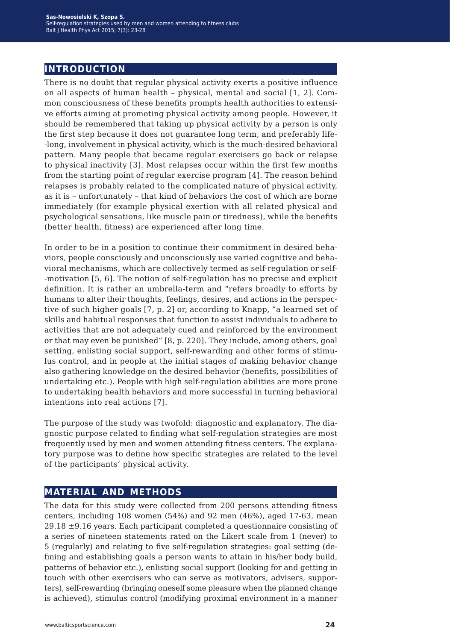## **introduction**

There is no doubt that regular physical activity exerts a positive influence on all aspects of human health – physical, mental and social [1, 2]. Common consciousness of these benefits prompts health authorities to extensive efforts aiming at promoting physical activity among people. However, it should be remembered that taking up physical activity by a person is only the first step because it does not guarantee long term, and preferably life- -long, involvement in physical activity, which is the much-desired behavioral pattern. Many people that became regular exercisers go back or relapse to physical inactivity [3]. Most relapses occur within the first few months from the starting point of regular exercise program [4]. The reason behind relapses is probably related to the complicated nature of physical activity, as it is – unfortunately – that kind of behaviors the cost of which are borne immediately (for example physical exertion with all related physical and psychological sensations, like muscle pain or tiredness), while the benefits (better health, fitness) are experienced after long time.

In order to be in a position to continue their commitment in desired behaviors, people consciously and unconsciously use varied cognitive and behavioral mechanisms, which are collectively termed as self-regulation or self- -motivation [5, 6]. The notion of self-regulation has no precise and explicit definition. It is rather an umbrella-term and "refers broadly to efforts by humans to alter their thoughts, feelings, desires, and actions in the perspective of such higher goals [7, p. 2] or, according to Knapp, "a learned set of skills and habitual responses that function to assist individuals to adhere to activities that are not adequately cued and reinforced by the environment or that may even be punished" [8, p. 220]. They include, among others, goal setting, enlisting social support, self-rewarding and other forms of stimulus control, and in people at the initial stages of making behavior change also gathering knowledge on the desired behavior (benefits, possibilities of undertaking etc.). People with high self-regulation abilities are more prone to undertaking health behaviors and more successful in turning behavioral intentions into real actions [7].

The purpose of the study was twofold: diagnostic and explanatory. The diagnostic purpose related to finding what self-regulation strategies are most frequently used by men and women attending fitness centers. The explanatory purpose was to define how specific strategies are related to the level of the participants' physical activity.

## **material and methods**

The data for this study were collected from 200 persons attending fitness centers, including 108 women (54%) and 92 men (46%), aged 17-63, mean  $29.18 \pm 9.16$  years. Each participant completed a questionnaire consisting of a series of nineteen statements rated on the Likert scale from 1 (never) to 5 (regularly) and relating to five self-regulation strategies: goal setting (defining and establishing goals a person wants to attain in his/her body build, patterns of behavior etc.), enlisting social support (looking for and getting in touch with other exercisers who can serve as motivators, advisers, supporters), self-rewarding (bringing oneself some pleasure when the planned change is achieved), stimulus control (modifying proximal environment in a manner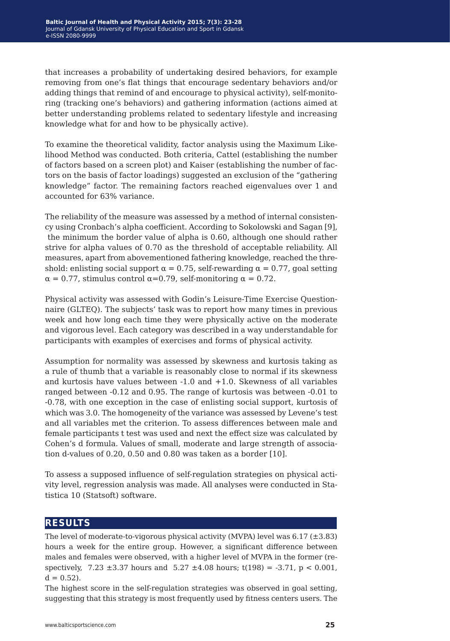that increases a probability of undertaking desired behaviors, for example removing from one's flat things that encourage sedentary behaviors and/or adding things that remind of and encourage to physical activity), self-monitoring (tracking one's behaviors) and gathering information (actions aimed at better understanding problems related to sedentary lifestyle and increasing knowledge what for and how to be physically active).

To examine the theoretical validity, factor analysis using the Maximum Likelihood Method was conducted. Both criteria, Cattel (establishing the number of factors based on a screen plot) and Kaiser (establishing the number of factors on the basis of factor loadings) suggested an exclusion of the "gathering knowledge" factor. The remaining factors reached eigenvalues over 1 and accounted for 63% variance.

The reliability of the measure was assessed by a method of internal consistency using Cronbach's alpha coefficient. According to Sokolowski and Sagan [9], the minimum the border value of alpha is 0.60, although one should rather strive for alpha values of 0.70 as the threshold of acceptable reliability. All measures, apart from abovementioned fathering knowledge, reached the threshold: enlisting social support  $\alpha = 0.75$ , self-rewarding  $\alpha = 0.77$ , goal setting  $\alpha = 0.77$ , stimulus control  $\alpha = 0.79$ , self-monitoring  $\alpha = 0.72$ .

Physical activity was assessed with Godin's Leisure-Time Exercise Questionnaire (GLTEQ). The subjects' task was to report how many times in previous week and how long each time they were physically active on the moderate and vigorous level. Each category was described in a way understandable for participants with examples of exercises and forms of physical activity.

Assumption for normality was assessed by skewness and kurtosis taking as a rule of thumb that a variable is reasonably close to normal if its skewness and kurtosis have values between  $-1.0$  and  $+1.0$ . Skewness of all variables ranged between -0.12 and 0.95. The range of kurtosis was between -0.01 to -0.78, with one exception in the case of enlisting social support, kurtosis of which was 3.0. The homogeneity of the variance was assessed by Levene's test and all variables met the criterion. To assess differences between male and female participants t test was used and next the effect size was calculated by Cohen's d formula. Values of small, moderate and large strength of association d-values of 0.20, 0.50 and 0.80 was taken as a border [10].

To assess a supposed influence of self-regulation strategies on physical activity level, regression analysis was made. All analyses were conducted in Statistica 10 (Statsoft) software.

## **results**

The level of moderate-to-vigorous physical activity (MVPA) level was  $6.17 (\pm 3.83)$ hours a week for the entire group. However, a significant difference between males and females were observed, with a higher level of MVPA in the former (respectively,  $7.23 \pm 3.37$  hours and  $5.27 \pm 4.08$  hours; t(198) = -3.71, p < 0.001,  $d = 0.52$ ).

The highest score in the self-regulation strategies was observed in goal setting, suggesting that this strategy is most frequently used by fitness centers users. The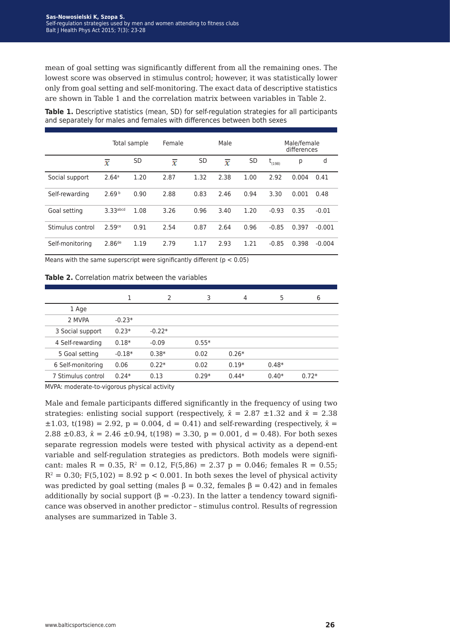mean of goal setting was significantly different from all the remaining ones. The lowest score was observed in stimulus control; however, it was statistically lower only from goal setting and self-monitoring. The exact data of descriptive statistics are shown in Table 1 and the correlation matrix between variables in Table 2.

**Table 1.** Descriptive statistics (mean, SD) for self-regulation strategies for all participants and separately for males and females with differences between both sexes

|                  | Total sample         |           | Female | Male      |      |           | Male/female<br>differences |       |          |  |
|------------------|----------------------|-----------|--------|-----------|------|-----------|----------------------------|-------|----------|--|
|                  | x                    | <b>SD</b> | x      | <b>SD</b> | x    | <b>SD</b> | $t_{(198)}$                | р     | d        |  |
| Social support   | 2.64 <sup>a</sup>    | 1.20      | 2.87   | 1.32      | 2.38 | 1.00      | 2.92                       | 0.004 | 0.41     |  |
| Self-rewarding   | 2.69 <sup>b</sup>    | 0.90      | 2.88   | 0.83      | 2.46 | 0.94      | 3.30                       | 0.001 | 0.48     |  |
| Goal setting     | 3.33 <sub>abcd</sub> | 1.08      | 3.26   | 0.96      | 3.40 | 1.20      | $-0.93$                    | 0.35  | $-0.01$  |  |
| Stimulus control | $2.59$ ce            | 0.91      | 2.54   | 0.87      | 2.64 | 0.96      | $-0.85$                    | 0.397 | $-0.001$ |  |
| Self-monitoring  | 2.86 <sup>de</sup>   | 1.19      | 2.79   | 1.17      | 2.93 | 1.21      | $-0.85$                    | 0.398 | $-0.004$ |  |

Means with the same superscript were significantly different ( $p < 0.05$ )

#### **Table 2.** Correlation matrix between the variables

|                    |          | $\mathcal{P}$ | 3       | 4       | 5       | 6       |
|--------------------|----------|---------------|---------|---------|---------|---------|
| 1 Age              |          |               |         |         |         |         |
| 2 MVPA             | $-0.23*$ |               |         |         |         |         |
| 3 Social support   | $0.23*$  | $-0.22*$      |         |         |         |         |
| 4 Self-rewarding   | $0.18*$  | $-0.09$       | $0.55*$ |         |         |         |
| 5 Goal setting     | $-0.18*$ | $0.38*$       | 0.02    | $0.26*$ |         |         |
| 6 Self-monitoring  | 0.06     | $0.22*$       | 0.02    | $0.19*$ | $0.48*$ |         |
| 7 Stimulus control | $0.24*$  | 0.13          | $0.29*$ | $0.44*$ | $0.40*$ | $0.72*$ |

MVPA: moderate-to-vigorous physical activity

Male and female participants differed significantly in the frequency of using two strategies: enlisting social support (respectively,  $\bar{x} = 2.87 \pm 1.32$  and  $\bar{x} = 2.38$ )  $\pm 1.03$ , t(198) = 2.92, p = 0.004, d = 0.41) and self-rewarding (respectively,  $\bar{x}$  = 2.88  $\pm$ 0.83,  $\bar{x}$  = 2.46  $\pm$ 0.94, t(198) = 3.30, p = 0.001, d = 0.48). For both sexes separate regression models were tested with physical activity as a depend-ent variable and self-regulation strategies as predictors. Both models were significant: males R = 0.35,  $R^2 = 0.12$ ,  $F(5,86) = 2.37$  p = 0.046; females R = 0.55;  $R<sup>2</sup> = 0.30$ ; F(5,102) = 8.92 p < 0.001. In both sexes the level of physical activity was predicted by goal setting (males  $\beta = 0.32$ , females  $\beta = 0.42$ ) and in females additionally by social support ( $\beta$  = -0.23). In the latter a tendency toward significance was observed in another predictor – stimulus control. Results of regression analyses are summarized in Table 3.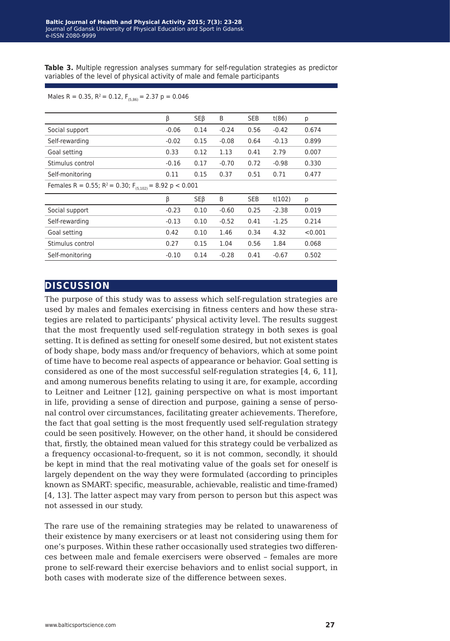**Table 3.** Multiple regression analyses summary for self-regulation strategies as predictor variables of the level of physical activity of male and female participants

#### Males R = 0.35,  $R^2 = 0.12$ ,  $F_{(5,86)} = 2.37$  p = 0.046

|                                                                                | β       | <b>SEB</b> | B       | <b>SEB</b> | t(86)   | р       |  |  |
|--------------------------------------------------------------------------------|---------|------------|---------|------------|---------|---------|--|--|
| Social support                                                                 | $-0.06$ | 0.14       | $-0.24$ | 0.56       | $-0.42$ | 0.674   |  |  |
| Self-rewarding                                                                 | $-0.02$ | 0.15       | $-0.08$ | 0.64       | $-0.13$ | 0.899   |  |  |
| Goal setting                                                                   | 0.33    | 0.12       | 1.13    | 0.41       | 2.79    | 0.007   |  |  |
| Stimulus control                                                               | $-0.16$ | 0.17       | $-0.70$ | 0.72       | $-0.98$ | 0.330   |  |  |
| Self-monitoring                                                                | 0.11    | 0.15       | 0.37    | 0.51       | 0.71    | 0.477   |  |  |
| Females R = 0.55; R <sup>2</sup> = 0.30; F <sub>(5,102)</sub> = 8.92 p < 0.001 |         |            |         |            |         |         |  |  |
|                                                                                | β       | <b>SEB</b> | B       | <b>SEB</b> | t(102)  | р       |  |  |
| Social support                                                                 | $-0.23$ | 0.10       | $-0.60$ | 0.25       | $-2.38$ | 0.019   |  |  |
| Self-rewarding                                                                 | $-0.13$ | 0.10       | $-0.52$ | 0.41       | $-1.25$ | 0.214   |  |  |
| Goal setting                                                                   | 0.42    | 0.10       | 1.46    | 0.34       | 4.32    | < 0.001 |  |  |
| Stimulus control                                                               | 0.27    | 0.15       | 1.04    | 0.56       | 1.84    | 0.068   |  |  |
| Self-monitoring                                                                | $-0.10$ | 0.14       | $-0.28$ | 0.41       | $-0.67$ | 0.502   |  |  |

## **discussion**

The purpose of this study was to assess which self-regulation strategies are used by males and females exercising in fitness centers and how these strategies are related to participants' physical activity level. The results suggest that the most frequently used self-regulation strategy in both sexes is goal setting. It is defined as setting for oneself some desired, but not existent states of body shape, body mass and/or frequency of behaviors, which at some point of time have to become real aspects of appearance or behavior. Goal setting is considered as one of the most successful self-regulation strategies [4, 6, 11], and among numerous benefits relating to using it are, for example, according to Leitner and Leitner [12], gaining perspective on what is most important in life, providing a sense of direction and purpose, gaining a sense of personal control over circumstances, facilitating greater achievements. Therefore, the fact that goal setting is the most frequently used self-regulation strategy could be seen positively. However, on the other hand, it should be considered that, firstly, the obtained mean valued for this strategy could be verbalized as a frequency occasional-to-frequent, so it is not common, secondly, it should be kept in mind that the real motivating value of the goals set for oneself is largely dependent on the way they were formulated (according to principles known as SMART: specific, measurable, achievable, realistic and time-framed) [4, 13]. The latter aspect may vary from person to person but this aspect was not assessed in our study.

The rare use of the remaining strategies may be related to unawareness of their existence by many exercisers or at least not considering using them for one's purposes. Within these rather occasionally used strategies two differences between male and female exercisers were observed – females are more prone to self-reward their exercise behaviors and to enlist social support, in both cases with moderate size of the difference between sexes.